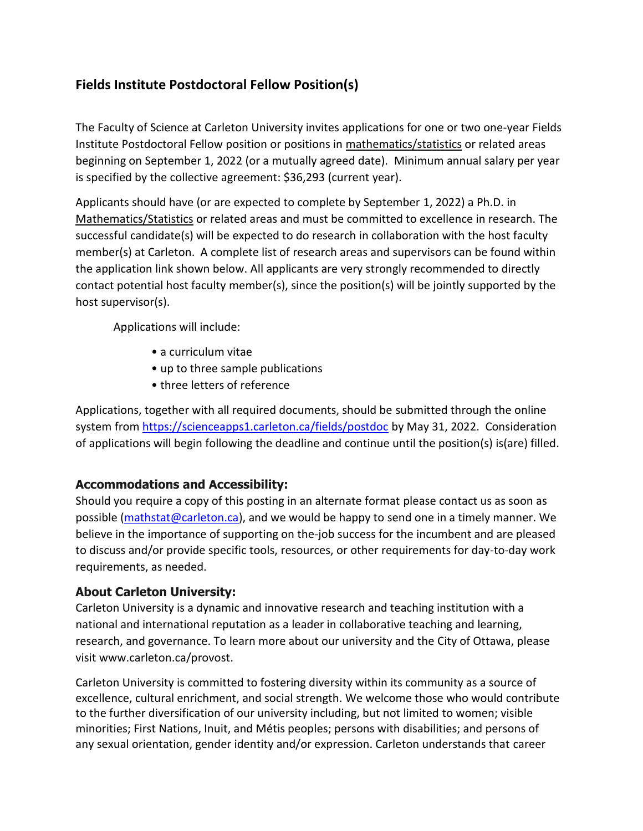## **Fields Institute Postdoctoral Fellow Position(s)**

The Faculty of Science at Carleton University invites applications for one or two one-year Fields Institute Postdoctoral Fellow position or positions in mathematics/statistics or related areas beginning on September 1, 2022 (or a mutually agreed date). Minimum annual salary per year is specified by the collective agreement: \$36,293 (current year).

Applicants should have (or are expected to complete by September 1, 2022) a Ph.D. in Mathematics/Statistics or related areas and must be committed to excellence in research. The successful candidate(s) will be expected to do research in collaboration with the host faculty member(s) at Carleton. A complete list of research areas and supervisors can be found within the application link shown below. All applicants are very strongly recommended to directly contact potential host faculty member(s), since the position(s) will be jointly supported by the host supervisor(s).

Applications will include:

- a curriculum vitae
- up to three sample publications
- three letters of reference

Applications, together with all required documents, should be submitted through the online system from <https://scienceapps1.carleton.ca/fields/postdoc> by May 31, 2022. Consideration of applications will begin following the deadline and continue until the position(s) is(are) filled.

## **Accommodations and Accessibility:**

Should you require a copy of this posting in an alternate format please contact us as soon as possible [\(mathstat@carleton.ca\)](mailto:mathstat@carleton.ca), and we would be happy to send one in a timely manner. We believe in the importance of supporting on the-job success for the incumbent and are pleased to discuss and/or provide specific tools, resources, or other requirements for day-to-day work requirements, as needed.

## **About Carleton University:**

Carleton University is a dynamic and innovative research and teaching institution with a national and international reputation as a leader in collaborative teaching and learning, research, and governance. To learn more about our university and the City of Ottawa, please visit www.carleton.ca/provost.

Carleton University is committed to fostering diversity within its community as a source of excellence, cultural enrichment, and social strength. We welcome those who would contribute to the further diversification of our university including, but not limited to women; visible minorities; First Nations, Inuit, and Métis peoples; persons with disabilities; and persons of any sexual orientation, gender identity and/or expression. Carleton understands that career